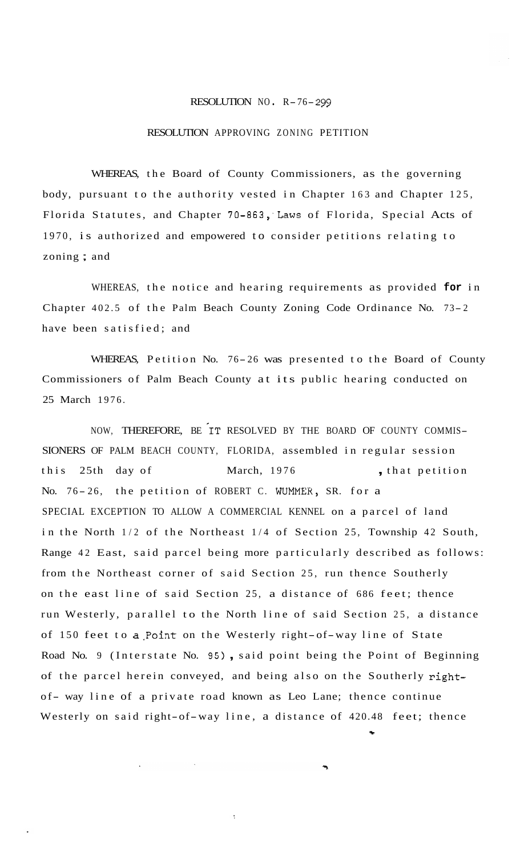## RESOLUTION NO R-76- *<sup>299</sup>*

## RESOLUTION APPROVING ZONING PETITION

WHEREAS, the Board of County Commissioners, as the governing body, pursuant to the authority vested in Chapter 163 and Chapter 125, Florida Statutes, and Chapter 70-863, Laws of Florida, Special Acts of 1970, is authorized and empowered to consider petitions relating to zoning ; and

WHEREAS, the notice and hearing requirements as provided **for** in Chapter 402.5 of the Palm Beach County Zoning Code Ordinance No. 73- <sup>2</sup> have been satisfied; and

WHEREAS, Petition No. 76-26 was presented to the Board of County Commissioners of Palm Beach County at its public hearing conducted on 25 March 1976.

NOW, THEREFORE, BE IT RESOLVED BY THE BOARD OF COUNTY COMMIS-SIONERS OF PALM BEACH COUNTY, FLORIDA, assembled in regular session this 25th day of March, 1976, that petition No. 76-26, the petition of ROBERT C. WUMMER, SR. for a SPECIAL EXCEPTION TO ALLOW A COMMERCIAL KENNEL on a parcel of land in the North 1/2 of the Northeast 1/4 of Section 25, Township 42 South, Range 42 East, said parcel being more particularly described as follows: from the Northeast corner of said Section 25, run thence Southerly on the east line of said Section 25, a distance of 686 feet; thence run Westerly, parallel to the North line of said Section 25, a distance of 150 feet to a.Point on the Westerly right-of-way line of State Road No. 9 (Interstate No. 95) , said point being the Point of Beginning of the parcel herein conveyed, and being also on the Southerly rightof- way line of a private road known as Leo Lane; thence continue Westerly on said right-of-way line, a distance of 420.48 feet; thence -

 $\overline{\mathbb{C}}$